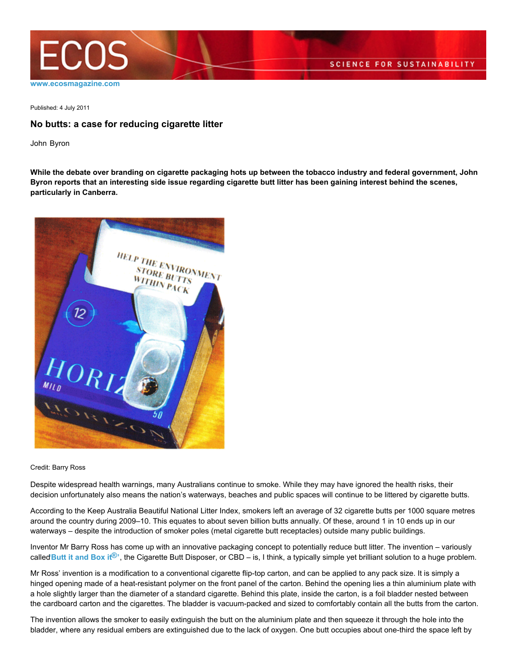

Published: 4 July 2011

## **No butts: a case for reducing cigarette litter**

John Byron

**While the debate over branding on cigarette packaging hots up between the tobacco industry and federal government, John Byron reports that an interesting side issue regarding cigarette butt litter has been gaining interest behind the scenes, particularly in Canberra.**



Credit: Barry Ross

Despite widespread health warnings, many Australians continue to smoke. While they may have ignored the health risks, their decision unfortunately also means the nation's waterways, beaches and public spaces will continue to be littered by cigarette butts.

According to the Keep Australia Beautiful National Litter Index, smokers left an average of 32 cigarette butts per 1000 square metres around the country during 2009–10. This equates to about seven billion butts annually. Of these, around 1 in 10 ends up in our waterways – despite the introduction of smoker poles (metal cigarette butt receptacles) outside many public buildings.

Inventor Mr Barry Ross has come up with an innovative packaging concept to potentially reduce butt litter. The invention – variously called Butt it and Box it<sup>®</sup>', the Cigarette Butt Disposer, or CBD – is, I think, a typically simple yet brilliant solution to a huge problem.

Mr Ross' invention is a modification to a conventional cigarette flip-top carton, and can be applied to any pack size. It is simply a hinged opening made of a heat-resistant polymer on the front panel of the carton. Behind the opening lies a thin aluminium plate with a hole slightly larger than the diameter of a standard cigarette. Behind this plate, inside the carton, is a foil bladder nested between the cardboard carton and the cigarettes. The bladder is vacuum-packed and sized to comfortably contain all the butts from the carton.

The invention allows the smoker to easily extinguish the butt on the aluminium plate and then squeeze it through the hole into the bladder, where any residual embers are extinguished due to the lack of oxygen. One butt occupies about one-third the space left by